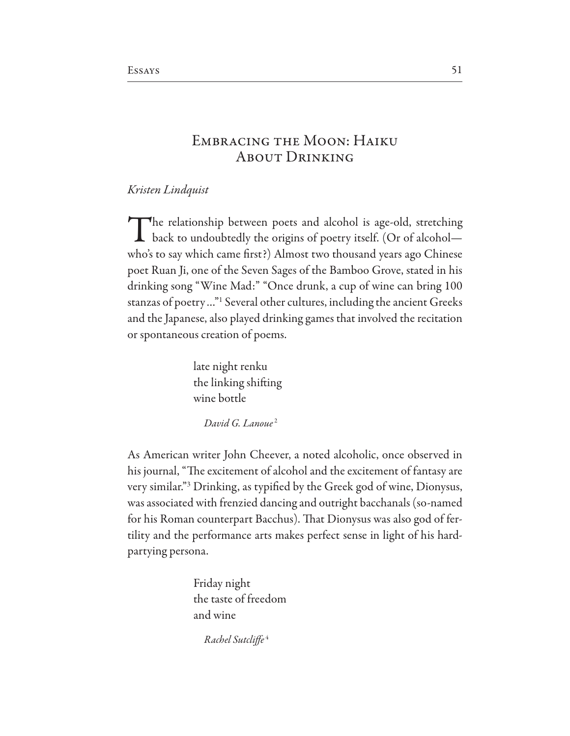## **EMBRACING THE MOON: HAIKU ABOUT DRINKING**

Kristen Lindquist

The relationship between poets and alcohol is age-old, stretching **L** back to undoubtedly the origins of poetry itself. (Or of alcoholwho's to say which came first?) Almost two thousand years ago Chinese poet Ruan Ji, one of the Seven Sages of the Bamboo Grove, stated in his drinking song "Wine Mad:" "Once drunk, a cup of wine can bring 100 stanzas of poetry..."<sup>1</sup> Several other cultures, including the ancient Greeks and the Japanese, also played drinking games that involved the recitation or spontaneous creation of poems.

> late night renku the linking shifting wine bottle

> > David G. Lanoue<sup>2</sup>

As American writer John Cheever, a noted alcoholic, once observed in his journal, "The excitement of alcohol and the excitement of fantasy are very similar."<sup>3</sup> Drinking, as typified by the Greek god of wine, Dionysus, was associated with frenzied dancing and outright bacchanals (so-named for his Roman counterpart Bacchus). That Dionysus was also god of fertility and the performance arts makes perfect sense in light of his hardpartying persona.

> Friday night the taste of freedom and wine

> > Rachel Sutcliffe<sup>4</sup>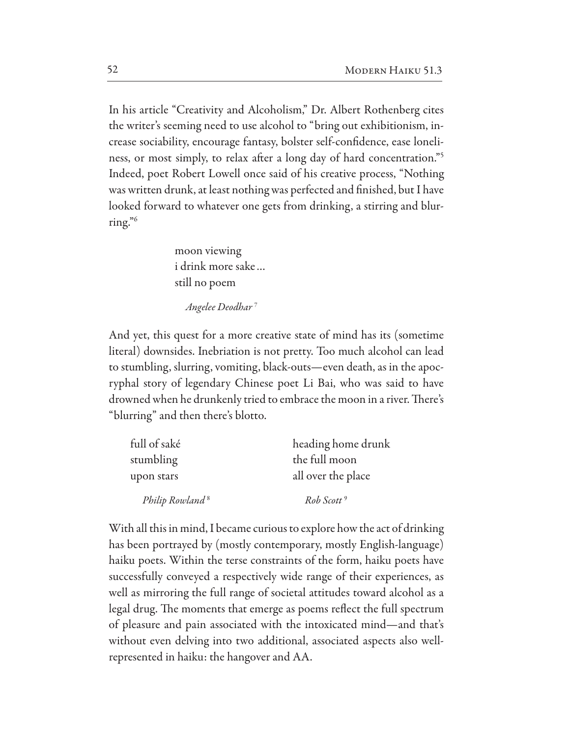In his article "Creativity and Alcoholism," Dr. Albert Rothenberg cites the writer's seeming need to use alcohol to "bring out exhibitionism, increase sociability, encourage fantasy, bolster self-confidence, ease loneliness, or most simply, to relax after a long day of hard concentration."<sup>5</sup> Indeed, poet Robert Lowell once said of his creative process, "Nothing was written drunk, at least nothing was perfected and finished, but I have looked forward to whatever one gets from drinking, a stirring and blurring." $6$ 

> moon viewing i drink more sake... still no poem

> > Angelee Deodhar<sup>7</sup>

And yet, this quest for a more creative state of mind has its (sometime literal) downsides. Inebriation is not pretty. Too much alcohol can lead to stumbling, slurring, vomiting, black-outs—even death, as in the apocryphal story of legendary Chinese poet Li Bai, who was said to have drowned when he drunkenly tried to embrace the moon in a river. There's "blurring" and then there's blotto.

| full of saké                | heading home drunk     |
|-----------------------------|------------------------|
| stumbling                   | the full moon          |
| upon stars                  | all over the place     |
| Philip Rowland <sup>8</sup> | Rob Scott <sup>9</sup> |

With all this in mind, I became curious to explore how the act of drinking has been portrayed by (mostly contemporary, mostly English-language) haiku poets. Within the terse constraints of the form, haiku poets have successfully conveyed a respectively wide range of their experiences, as well as mirroring the full range of societal attitudes toward alcohol as a legal drug. The moments that emerge as poems reflect the full spectrum of pleasure and pain associated with the intoxicated mind—and that's without even delving into two additional, associated aspects also wellrepresented in haiku: the hangover and AA.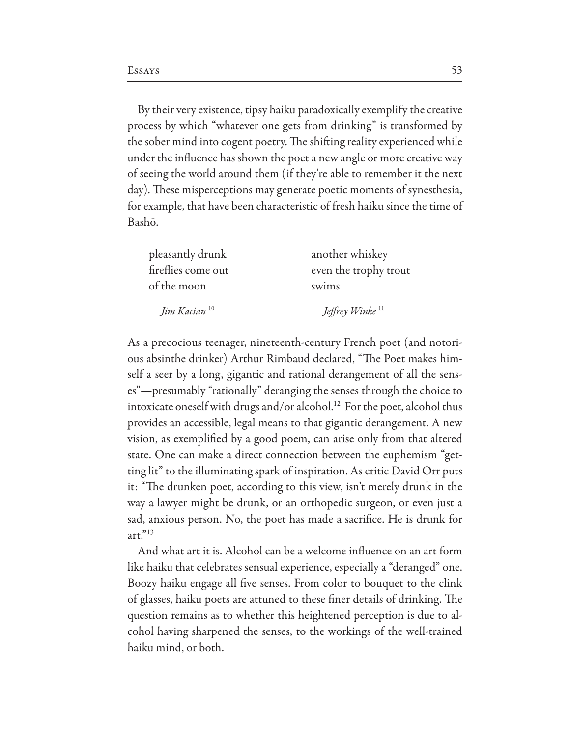By their very existence, tipsy haiku paradoxically exemplify the creative process by which "whatever one gets from drinking" is transformed by the sober mind into cogent poetry. The shifting reality experienced while under the influence has shown the poet a new angle or more creative way of seeing the world around them (if they're able to remember it the next day). These misperceptions may generate poetic moments of synesthesia, for example, that have been characteristic of fresh haiku since the time of Bashō.

| pleasantly drunk         | another whiskey             |
|--------------------------|-----------------------------|
| fireflies come out       | even the trophy trout       |
| of the moon              | swims                       |
| Jim Kacian <sup>10</sup> | Jeffrey Winke <sup>11</sup> |

As a precocious teenager, nineteenth-century French poet (and notorious absinthe drinker) Arthur Rimbaud declared, "The Poet makes himself a seer by a long, gigantic and rational derangement of all the senses"—presumably "rationally" deranging the senses through the choice to intoxicate oneself with drugs and/or alcohol.<sup>12</sup> For the poet, alcohol thus provides an accessible, legal means to that gigantic derangement. A new vision, as exemplified by a good poem, can arise only from that altered state. One can make a direct connection between the euphemism "getting lit" to the illuminating spark of inspiration. As critic David Orr puts it: "The drunken poet, according to this view, isn't merely drunk in the way a lawyer might be drunk, or an orthopedic surgeon, or even just a sad, anxious person. No, the poet has made a sacrifice. He is drunk for  $art.^{"13}$ 

And what art it is. Alcohol can be a welcome influence on an art form like haiku that celebrates sensual experience, especially a "deranged" one. Boozy haiku engage all five senses. From color to bouquet to the clink of glasses, haiku poets are attuned to these finer details of drinking. The question remains as to whether this heightened perception is due to alcohol having sharpened the senses, to the workings of the well-trained haiku mind, or both.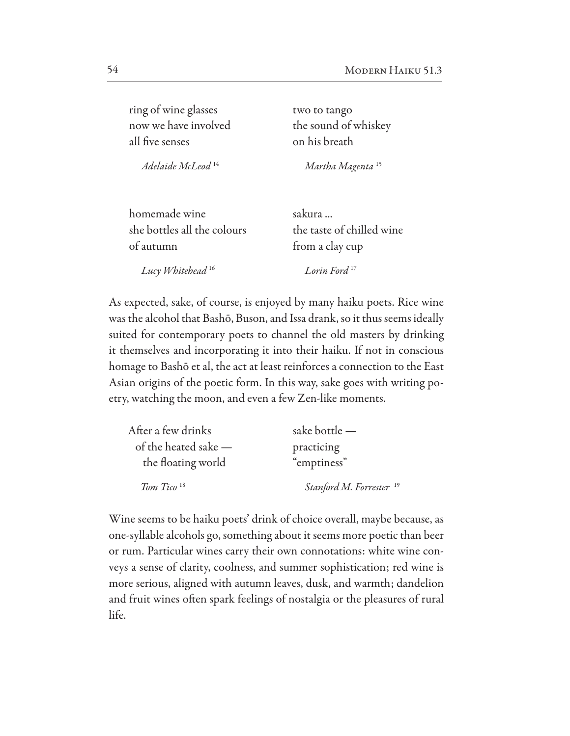| ring of wine glasses          | two to tango                 |
|-------------------------------|------------------------------|
| now we have involved          | the sound of whiskey         |
| all five senses               | on his breath                |
| Adelaide McLeod <sup>14</sup> | Martha Magenta <sup>15</sup> |
| homemade wine                 | sakura                       |
| she bottles all the colours   | the taste of chilled wine    |
| of autumn                     | from a clay cup              |
| Lucy Whitehead <sup>16</sup>  | Lorin Ford <sup>17</sup>     |

As expected, sake, of course, is enjoyed by many haiku poets. Rice wine was the alcohol that Bashō, Buson, and Issa drank, so it thus seems ideally suited for contemporary poets to channel the old masters by drinking it themselves and incorporating it into their haiku. If not in conscious homage to Bashō et al, the act at least reinforces a connection to the East Asian origins of the poetic form. In this way, sake goes with writing poetry, watching the moon, and even a few Zen-like moments.

| After a few drinks     | sake bottle -                       |
|------------------------|-------------------------------------|
| of the heated sake $-$ | practicing                          |
| the floating world     | "emptiness"                         |
| Tom Tico <sup>18</sup> | Stanford M. Forrester <sup>19</sup> |

Wine seems to be haiku poets' drink of choice overall, maybe because, as one-syllable alcohols go, something about it seems more poetic than beer or rum. Particular wines carry their own connotations: white wine conveys a sense of clarity, coolness, and summer sophistication; red wine is more serious, aligned with autumn leaves, dusk, and warmth; dandelion and fruit wines often spark feelings of nostalgia or the pleasures of rural life.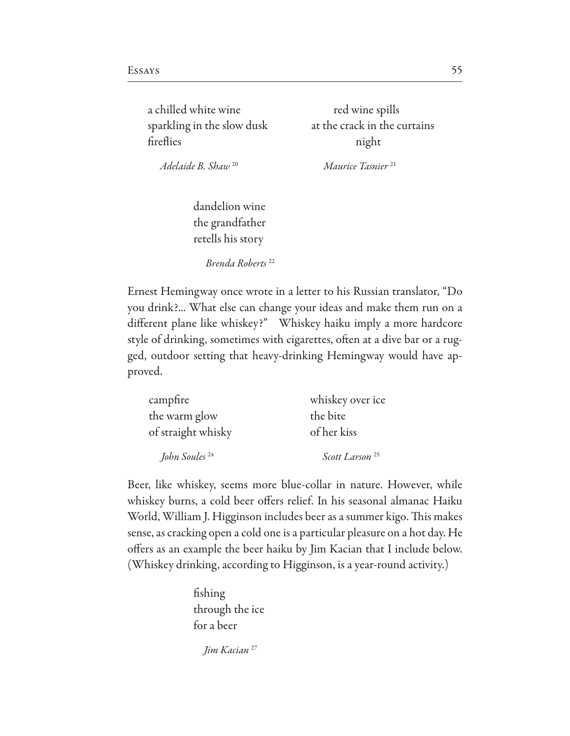a chilled white wine red wine spills fireflies night

sparkling in the slow dusk at the crack in the curtains

*Adelaide B. Shaw* 20 *Maurice Tasnier* <sup>21</sup>

dandelion wine the grandfather retells his story

*Brenda Roberts* <sup>22</sup>

Ernest Hemingway once wrote in a letter to his Russian translator, "Do you drink?... What else can change your ideas and make them run on a different plane like whiskey?" Whiskey haiku imply a more hardcore style of drinking, sometimes with cigarettes, often at a dive bar or a rugged, outdoor setting that heavy-drinking Hemingway would have approved.

| campfire                  | whiskey over ice           |
|---------------------------|----------------------------|
| the warm glow             | the bite                   |
| of straight whisky        | of her kiss                |
| John Soules <sup>24</sup> | Scott Larson <sup>25</sup> |

Beer, like whiskey, seems more blue-collar in nature. However, while whiskey burns, a cold beer offers relief. In his seasonal almanac Haiku World, William J. Higginson includes beer as a summer kigo. This makes sense, as cracking open a cold one is a particular pleasure on a hot day. He offers as an example the beer haiku by Jim Kacian that I include below. (Whiskey drinking, according to Higginson, is a year-round activity.)

> fishing through the ice for a beer

> > *Jim Kacian* 27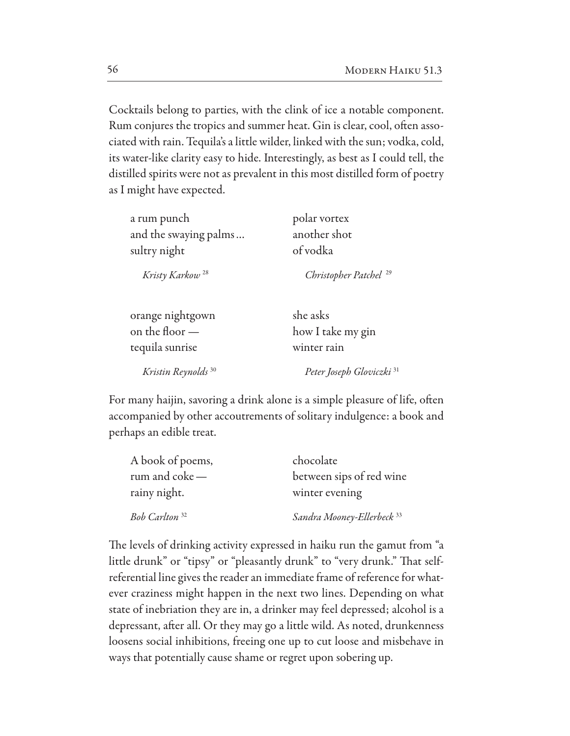Cocktails belong to parties, with the clink of ice a notable component. Rum conjures the tropics and summer heat. Gin is clear, cool, often associated with rain. Tequila's a little wilder, linked with the sun; vodka, cold, its water-like clarity easy to hide. Interestingly, as best as I could tell, the distilled spirits were not as prevalent in this most distilled form of poetry as I might have expected.

| a rum punch                    | polar vortex                         |
|--------------------------------|--------------------------------------|
| and the swaying palms          | another shot                         |
| sultry night                   | of vodka                             |
| Kristy Karkow <sup>28</sup>    | Christopher Patchel <sup>29</sup>    |
| orange nightgown               | she asks                             |
| on the floor $-$               | how I take my gin                    |
| tequila sunrise                | winter rain                          |
| Kristin Reynolds <sup>30</sup> | Peter Joseph Gloviczki <sup>31</sup> |

For many haijin, savoring a drink alone is a simple pleasure of life, often accompanied by other accoutrements of solitary indulgence: a book and perhaps an edible treat.

| A book of poems,          | chocolate                             |
|---------------------------|---------------------------------------|
| rum and $\csc -$          | between sips of red wine              |
| rainy night.              | winter evening                        |
| Bob Carlton <sup>32</sup> | Sandra Mooney-Ellerbeck <sup>33</sup> |

The levels of drinking activity expressed in haiku run the gamut from "a little drunk" or "tipsy" or "pleasantly drunk" to "very drunk." That selfreferential line gives the reader an immediate frame of reference for whatever craziness might happen in the next two lines. Depending on what state of inebriation they are in, a drinker may feel depressed; alcohol is a depressant, after all. Or they may go a little wild. As noted, drunkenness loosens social inhibitions, freeing one up to cut loose and misbehave in ways that potentially cause shame or regret upon sobering up.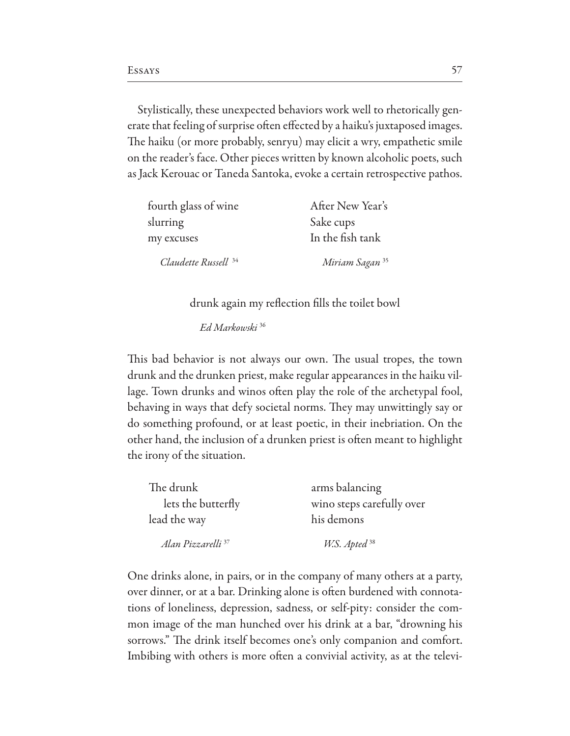Stylistically, these unexpected behaviors work well to rhetorically generate that feeling of surprise often effected by a haiku's juxtaposed images. The haiku (or more probably, senryu) may elicit a wry, empathetic smile on the reader's face. Other pieces written by known alcoholic poets, such as Jack Kerouac or Taneda Santoka, evoke a certain retrospective pathos.

| fourth glass of wine            | After New Year's           |
|---------------------------------|----------------------------|
| slurring                        | Sake cups                  |
| my excuses                      | In the fish tank           |
| Claudette Russell <sup>34</sup> | Miriam Sagan <sup>35</sup> |

drunk again my reflection fills the toilet bowl

Ed Markowski<sup>36</sup>

This bad behavior is not always our own. The usual tropes, the town drunk and the drunken priest, make regular appearances in the haiku village. Town drunks and winos often play the role of the archetypal fool, behaving in ways that defy societal norms. They may unwittingly say or do something profound, or at least poetic, in their inebriation. On the other hand, the inclusion of a drunken priest is often meant to highlight the irony of the situation.

| The drunk                     | arms balancing            |
|-------------------------------|---------------------------|
| lets the butterfly            | wino steps carefully over |
| lead the way                  | his demons                |
| Alan Pizzarelli <sup>37</sup> | W.S. Apted 38             |

One drinks alone, in pairs, or in the company of many others at a party, over dinner, or at a bar. Drinking alone is often burdened with connotations of loneliness, depression, sadness, or self-pity: consider the common image of the man hunched over his drink at a bar, "drowning his sorrows." The drink itself becomes one's only companion and comfort. Imbibing with others is more often a convivial activity, as at the televi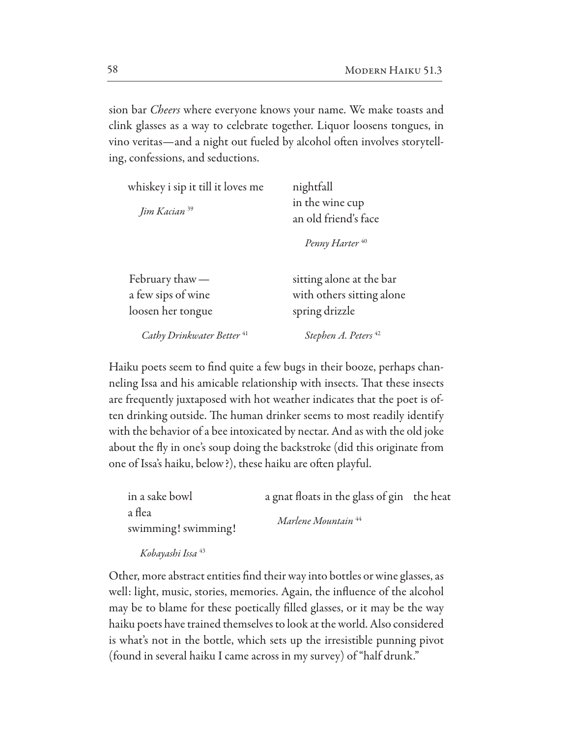sion bar *Cheers* where everyone knows your name. We make toasts and clink glasses as a way to celebrate together. Liquor loosens tongues, in vino veritas—and a night out fueled by alcohol often involves storytelling, confessions, and seductions.

| whiskey i sip it till it loves me<br>Jim Kacian <sup>39</sup> | nightfall<br>in the wine cup<br>an old friend's face                    |
|---------------------------------------------------------------|-------------------------------------------------------------------------|
|                                                               | Penny Harter <sup>40</sup>                                              |
| February thaw $-$<br>a few sips of wine<br>loosen her tongue  | sitting alone at the bar<br>with others sitting alone<br>spring drizzle |
| Cathy Drinkwater Better <sup>41</sup>                         | Stephen A. Peters <sup>42</sup>                                         |

Haiku poets seem to find quite a few bugs in their booze, perhaps channeling Issa and his amicable relationship with insects. That these insects are frequently juxtaposed with hot weather indicates that the poet is often drinking outside. The human drinker seems to most readily identify with the behavior of a bee intoxicated by nectar. And as with the old joke about the fly in one's soup doing the backstroke (did this originate from one of Issa's haiku, below?), these haiku are often playful.

| in a sake bowl      | a gnat floats in the glass of gin the heat |  |
|---------------------|--------------------------------------------|--|
| a flea              | Marlene Mountain <sup>44</sup>             |  |
| swimming! swimming! |                                            |  |
|                     |                                            |  |

Kobayashi Issa 43

Other, more abstract entities find their way into bottles or wine glasses, as well: light, music, stories, memories. Again, the influence of the alcohol may be to blame for these poetically filled glasses, or it may be the way haiku poets have trained themselves to look at the world. Also considered is what's not in the bottle, which sets up the irresistible punning pivot (found in several haiku I came across in my survey) of "half drunk."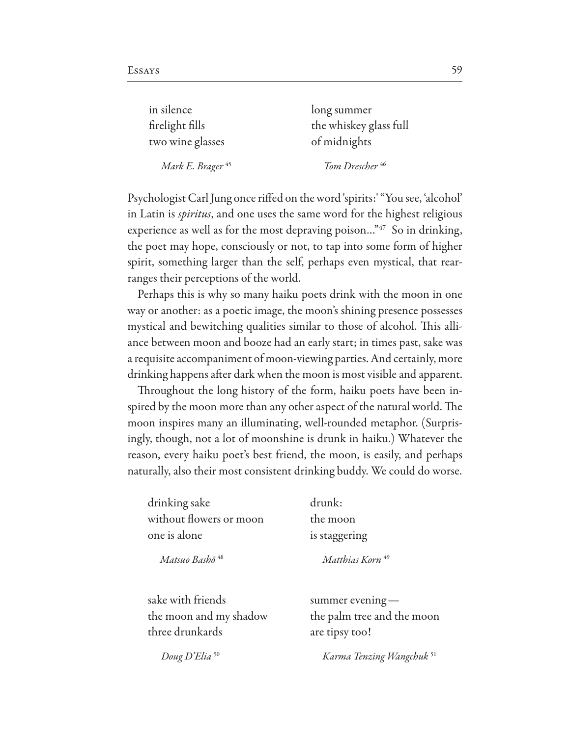| in silence                   | long summer                |
|------------------------------|----------------------------|
| firelight fills              | the whiskey glass full     |
| two wine glasses             | of midnights               |
| Mark E. Brager <sup>45</sup> | Tom Drescher <sup>46</sup> |

Psychologist Carl Jung once rifed on the word 'spirits:' "You see, 'alcohol' in Latin is *spiritus*, and one uses the same word for the highest religious experience as well as for the most depraving poison..." $47$  So in drinking, the poet may hope, consciously or not, to tap into some form of higher spirit, something larger than the self, perhaps even mystical, that rearranges their perceptions of the world.

Perhaps this is why so many haiku poets drink with the moon in one way or another: as a poetic image, the moon's shining presence possesses mystical and bewitching qualities similar to those of alcohol. This alliance between moon and booze had an early start; in times past, sake was a requisite accompaniment of moon-viewing parties. And certainly, more drinking happens after dark when the moon is most visible and apparent.

Throughout the long history of the form, haiku poets have been inspired by the moon more than any other aspect of the natural world. The moon inspires many an illuminating, well-rounded metaphor. (Surprisingly, though, not a lot of moonshine is drunk in haiku.) Whatever the reason, every haiku poet's best friend, the moon, is easily, and perhaps naturally, also their most consistent drinking buddy. We could do worse.

| drinking sake           |
|-------------------------|
| without flowers or moon |
| one is alone            |

drunk: the moon is staggering

*Matsuo Bash*ō *Matthias Korn* 

sake with friends summer evening three drunkards are tipsy too!

the moon and my shadow the palm tree and the moon

*Doug D'Elia* 50 *Karma Tenzing Wangchuk* 51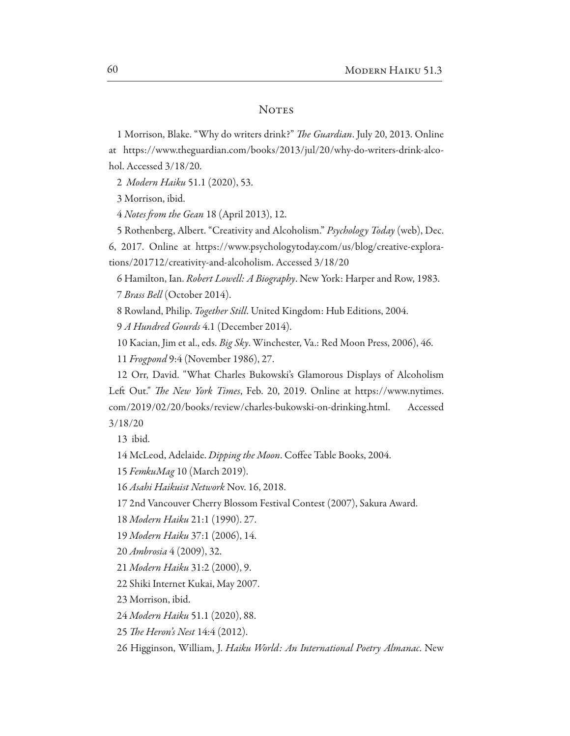## **NOTES**

1 Morrison, Blake. "Why do writers drink?" The Guardian. July 20, 2013. Online at https://www.theguardian.com/books/2013/jul/20/why-do-writers-drink-alcohol. Accessed 3/18/20.

2 Modern Haiku 51.1 (2020), 53.

3 Morrison, ibid.

4 Notes from the Gean 18 (April 2013), 12.

5 Rothenberg, Albert. "Creativity and Alcoholism." Psychology Today (web), Dec.

6, 2017. Online at https://www.psychologytoday.com/us/blog/creative-explorations/201712/creativity-and-alcoholism. Accessed 3/18/20

6 Hamilton, Ian. Robert Lowell: A Biography. New York: Harper and Row, 1983.

7 Brass Bell (October 2014).

8 Rowland, Philip. Together Still. United Kingdom: Hub Editions, 2004.

9 A Hundred Gourds 4.1 (December 2014).

10 Kacian, Jim et al., eds. Big Sky. Winchester, Va.: Red Moon Press, 2006), 46.

11 *Frogpond* 9:4 (November 1986), 27.

12 Orr, David. "What Charles Bukowski's Glamorous Displays of Alcoholism Left Out." *The New York Times*, Feb. 20, 2019. Online at https://www.nytimes. com/2019/02/20/books/review/charles-bukowski-on-drinking.html. Accessed  $3/18/20$ 

13 ibid.

14 McLeod, Adelaide. Dipping the Moon. Coffee Table Books, 2004.

15 FemkuMag 10 (March 2019).

16 Asahi Haikuist Network Nov. 16, 2018.

17 2nd Vancouver Cherry Blossom Festival Contest (2007), Sakura Award.

18 Modern Haiku 21:1 (1990). 27.

19 Modern Haiku 37:1 (2006), 14.

20 Ambrosia 4 (2009), 32.

21 Modern Haiku 31:2 (2000), 9.

22 Shiki Internet Kukai, May 2007.

23 Morrison, ibid.

24 Modern Haiku 51.1 (2020), 88.

25 The Heron's Nest 14:4 (2012).

26 Higginson, William, J. Haiku World: An International Poetry Almanac. New